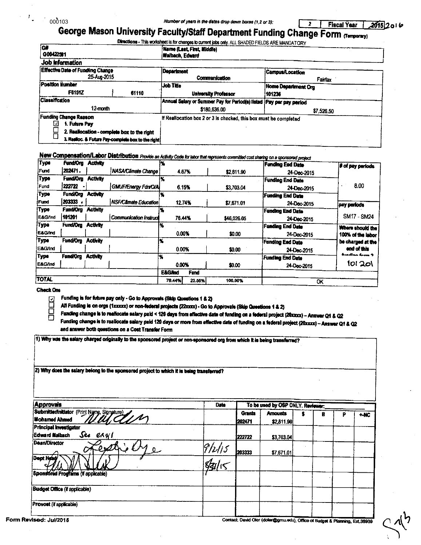$\tilde{r}_{\perp}$ 

# Number of yours in the dates drop down boxes (1,2 or 3): **1998 Fiscal Year 1, 2015** 2 o 1 to 1990 of 103<br>George Mason University Faculty/Staff Department Funding Change Form (Temporary) Directions - This worksheet is for changes to current jobs only. ALL SHADED FIELDS ARE MANDATORY

| iG#<br>G00422581                                                                                                                                   |                                                                                                                                                                                                                                                                    | Name (Last, First, Middle)<br>Maibach, Edward                     |  |  |  |  |
|----------------------------------------------------------------------------------------------------------------------------------------------------|--------------------------------------------------------------------------------------------------------------------------------------------------------------------------------------------------------------------------------------------------------------------|-------------------------------------------------------------------|--|--|--|--|
| Job Information                                                                                                                                    | <b>Department</b><br><b>Campus/Location</b><br>Communication<br>Fairfax<br>Job Title<br>Home Department Org<br>61110<br><b>University Professor</b><br>101236<br>Annual Salary or Summer Pay for Period(s) listed Pay par pay period<br>\$180,636.00<br>\$7,526.50 |                                                                   |  |  |  |  |
| <b>Effective Date of Funding Change</b><br>25-Aug-2015                                                                                             |                                                                                                                                                                                                                                                                    |                                                                   |  |  |  |  |
| Position Humber                                                                                                                                    |                                                                                                                                                                                                                                                                    |                                                                   |  |  |  |  |
| <b>F6151Z</b>                                                                                                                                      |                                                                                                                                                                                                                                                                    |                                                                   |  |  |  |  |
| <b>Classification</b>                                                                                                                              |                                                                                                                                                                                                                                                                    |                                                                   |  |  |  |  |
| 12-month                                                                                                                                           |                                                                                                                                                                                                                                                                    |                                                                   |  |  |  |  |
| <b>Funding Change Reason</b><br>1. Future Pay<br>2. Reallocation - complete box to the right<br>3. Realloc. & Future Pay-complete box to the right |                                                                                                                                                                                                                                                                    | If Reallocation box 2 or 3 is checked, this box must be completed |  |  |  |  |

# New Compensation/Labor Distribution *Provide an Activity Code for labor that represents committed cost sharing on a sponsored project*

| <b>Type</b>  | <b>Fund/Ora</b>                    | <b>Activity</b>               |                             |                   |             |                         | Funding End Date        | # of pay periods  |  |
|--------------|------------------------------------|-------------------------------|-----------------------------|-------------------|-------------|-------------------------|-------------------------|-------------------|--|
| <b>Fund</b>  | 202471.                            |                               | NASA/Climate Change         |                   | 4.67%       | \$2,811.90              | 24-Dec-2015             |                   |  |
| <b>Type</b>  | Fund/Org                           | <b>Activity</b>               |                             |                   |             |                         | <b>Funding End Date</b> |                   |  |
| Fund         | 222722                             |                               | <b>GMUF/Energy Fdn/O/AL</b> |                   | 6.15%       | \$3,703.04              | 24-Dec-2015             | 8.00              |  |
| Туре         | Fund/Org                           | <b>Activity</b>               |                             |                   |             |                         | <b>Funding End Date</b> |                   |  |
| Fund         | 203333                             |                               | NSF/Climate Education       |                   | 12.74%      | \$7.671.01              | 24-Dec-2015             | pay periods       |  |
| Туре         | <b>Fund/Oro</b><br><b>Activity</b> |                               |                             |                   |             |                         | <b>Funding End Data</b> |                   |  |
| E&G/Ind      | 101201                             | <b>Communication Instruct</b> |                             | 76.44%            |             | \$46,026.05             | 24-Dec-2015             | SM17 - SM24       |  |
| Туре         | <b>Fund/Org</b>                    | <b>Activity</b>               |                             | x                 |             |                         | <b>Funding End Date</b> | Where should the  |  |
| E&G/Ind      |                                    |                               |                             |                   | 0.00%       | \$0.00                  | 24-Dec-2015             | 100% of the labor |  |
| Type         | <b>Fund/Org</b>                    | <b>Activity</b>               |                             |                   |             |                         | <b>Funding End Date</b> | be charged at the |  |
| E&G/Ind      |                                    |                               |                             |                   | 0.00%       | \$0.00                  | 24-Dec-2015             | and of this       |  |
| <b>Type</b>  | <b>Fund/Org</b><br><b>Activity</b> |                               | ١X                          |                   |             | <b>Funding End Date</b> | headinn farm 2          |                   |  |
| E&G/Ind      |                                    |                               |                             | 0.00%             |             | \$0.00                  | 24-Dec-2015             | 101 201           |  |
|              |                                    |                               |                             | <b>E&amp;GAnd</b> | <b>Fund</b> |                         |                         |                   |  |
| <b>TOTAL</b> |                                    |                               |                             | 76.44%            | 23.56%      | 100.00%                 | ОК                      |                   |  |

#### **Check One**



I

<u>□</u> Funding is for future pay only  $\cdot$  Go to Approvals (Sldp Questions 1 & 2)<br>
All Funding is on orgs (1xxxxx) or non-federal projects (22xxxx) - Go to<br>
Funding change is to reallocate salary paid < 120 days from effecti All Funding is on orgs (1xxxxx) or non-federal projects (22xxxx) - Go to Approvals (Skip Questions 1 & 2)<br>Funding change is to realfocate salary paid < 120 days from affective date of funding on a federal project (20xxxx) Um<br>| Funding is for future pay only - Go to Approvals (Slup Questions 1 & 2)<br>| All Funding as on orgs (1xxxxx) or non-federal projects (22xxxx) - Go to Approvals (Skip Questions 1 & 2)<br>|- Funding change is to reallocate s and answer both questions on a Cost Transfer Form

11) Why was the salary charged originally to the sponsored project or non-sponsored org from which it is being transferred?

| 2) Why does the salary belong to the sponsored project to which it is being transferred? |
|------------------------------------------------------------------------------------------|

| <b>Approvals</b>                                                    | Date    | To be used by OSP ONLY. Reviewer: |                              |  |   |  |        |
|---------------------------------------------------------------------|---------|-----------------------------------|------------------------------|--|---|--|--------|
| Submitter/initiator (Print Name, Signature)<br><b>Mohamed Ahmed</b> |         | <b>Grants</b><br>202471           | <b>Amounts</b><br>\$2,811.90 |  | B |  | $-$ KC |
| <b>Principal Investigator</b><br>See ergl<br>Edward Malbach         |         | 1222722                           | \$3,703.04                   |  |   |  |        |
| Dean/Director<br>₽s2                                                | $Q_{1}$ | 203333                            | \$7,671.01                   |  |   |  |        |
| <b>Dept Head</b>                                                    |         |                                   |                              |  |   |  |        |
| Sponsored Programs (if applicable)                                  |         |                                   |                              |  |   |  |        |
| Budget Office (if applicable)                                       |         |                                   |                              |  |   |  |        |
| Provost (if applicable)                                             |         |                                   |                              |  |   |  |        |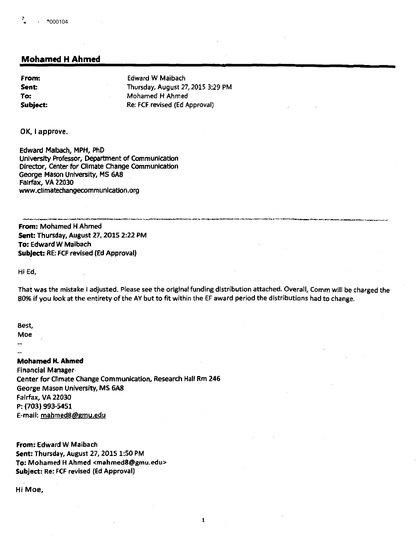# **Mohamed H Ahmed**

Sent: **To:** 

**From: Edward W Maibach** Thursday, August 27, 2015 3:29 PM Mohamed H Ahmed **Subject:** Re: FCF revised (Ed Approval)

OK, I approve.

Edward Maibach, **MPH,** PhD University Professor, Department of Communication Director, Center for Climate Change Communication George Mason University, MS 6A8 Fairfax, VA 22030 www.climatechangecommunication.org

·~-------- -·----~----··-~--·---,--··-----~-... - **From:** Mohamed H Ahmed **Sent:** Thursday, August 27, 2015 2:22 PM **To:** Edward W Maibach **Subject:** RE: FCF revised (Ed Approval)

Hi Ed,

That was the mistake I adjusted. Please see the original funding distribution attached. Overall, Comm will be charged the 80% if you look at the entirety of the AY but to fit within the EF award period the distributions had to change.

I

Best,

Moe

#### **Mohamed H. Ahmed**

Financial Manager· Center for Climate Change Communication, Research Hall Rm 246 George Mason University, MS 6A8 Fairfax, VA 22030 P: (703) 993-5451 E-mail: mahmed8@gmu.edu

**From:** Edward W Maibach **Sent:** Thursday, August 27, 2015 1:50 PM **To:** Mohamed H Ahmed <mahmed8@gmu.edu> **Subject:** Re: FCF revised (Ed Approval)

Hi Moe,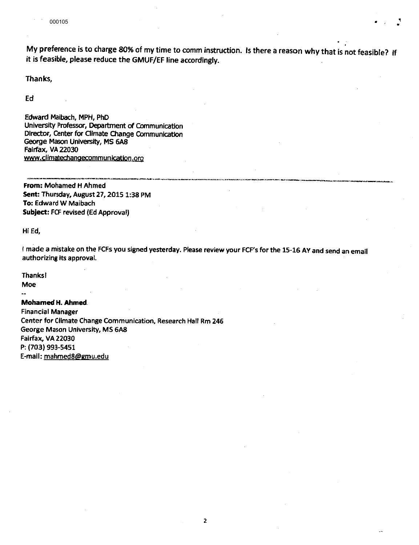My preference is to charge 80% of my time to comm instruction. Is there a reason why that is not feasible? If it is feasible, please reduce the GMUF/EF line accordingly.

\_\_,,,\_ \_\_\_\_\_ \_\_

Thanks,

Ed

Edward Maibach, MPH, PhD University Professor, Department of Communication Director, Center for Climate Olange Communication George Mason University, MS 6A8 Fairfax, VA 22030 www.climatechangecommunicatjon.org \_\_\_\_\_ , \_\_ ·-,-------·-·-· \_\_\_\_\_ , \_\_ \_

**From:** Mohamed H Ahmed **Sent:** Thursday, August 27, 2015 1:38 PM **To:** Edward W Maibach **Subject:** FCF revised (Ed Approval)

Hi Ed,

I made a mistake on the FCFs you signed yesterday. Please review your FCF's for the 15·16 AY and send an email authorizing its approval.

2

Thanks!

Moe  $\ddot{\phantom{a}}$ 

#### **Mohamed H. Ahmed.**

Financial Manager Center for Climate Change Communication, Research Hall Rm 246 George Mason University, MS 6A8 Fairfax, VA 22030 P: (703) 993-5451 E-mail: mahmed8@gmu.edu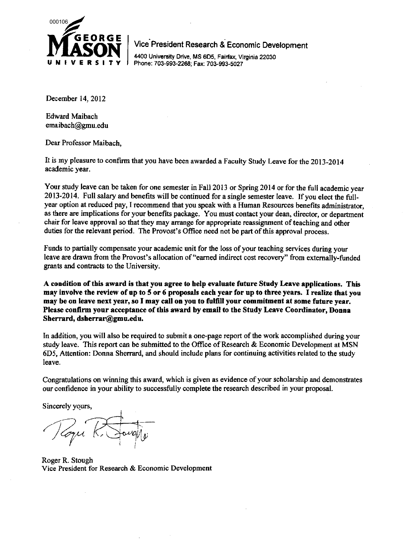

. . Vice President Research & Economic Development

4400 University Drive, MS 6D5, Fairfax, Virginia 22030 Phone: 703-993-2268; Fax: 703-993-5027

December 14, 2012

Edward Maibach emaibach@gmu.edu

Dear Professor Maibach,

It is my pleasure to confirm that you have been awarded a Faculty Study Leave for the 2013-2014 academic year.

Your study leave can be taken for one semester in Fall 2013 or Spring 2014 or for the full academic year 2013-2014. Full salary and benefits will be continued for a single semester leave. If you elect the fullyear option at reduced pay, I recommend that you speak with a Human Resources benefits administrator, as there are implications for your benefits package. You must contact your dean, director, or department chair for leave approval so that they may arrange for appropriate reassignment of teaching and other duties for the relevant period. The Provost's Office need not be part of this approval process.

Funds to partially compensate your academic unit for the loss of your teaching services during your leave are drawn from the Provost's allocation of "earned indirect cost recovery" from externally-funded grants and contracts to the University.

**A condition of this award is that you agree to help evaluate future Study Leave applications. This may involve the review of up to 5 or 6 proposals each year for** up **to three years.** I **realize that you may be on leave next year, so** I **may call on you to fulfill your commitment at some futnre year. Please confirm** your **acceptance of this award by email to the Study Leave Coordinator, Donna Sherrard, dsberrar@gmu.edu.** 

In addition, you will also be required to submit a one-page report of the work accomplished during your study leave. This report can be submitted to the Office of Research & Economic Development at MSN 6D5, Attention: Donna Sherrard, and should include plans for continuing activities related to the study leave.

Congratulations on winning this award, which is given as evidence of your scholarship and demonstrates our confidence in your ability to successfully complete the research described in your proposal.

Sincerely yours,

Roger R. Stough Vice President for Research & Economic Development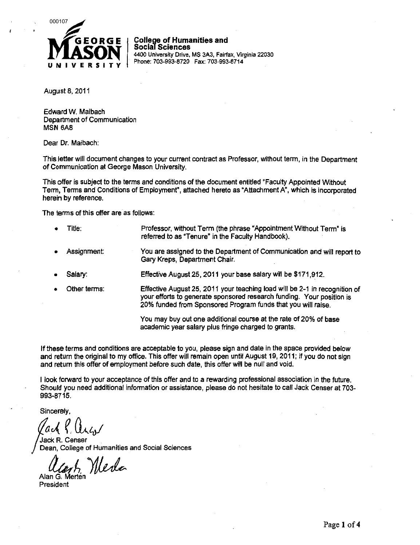

**College of Humanities and Social Sciences**  4400 University Drive, MS 3A3, Fairfax, Virginia 22030 Phone: 703-993-8720 Fax: 703-993-8714

August 8, 2011

Edward W. Maibach Department of Communication MSN 6A8

Dear Dr. Maibach:

This letter will document changes to your current contract as Professor, without term, in the Department of Communication at George Mason University.

This offer is subject to the terms and conditions of the document entitled "Faculty Appointed Without Term, Terms and Conditions of Employment', attached hereto as "Attachment A", which is incorporated herein by reference.

The terms of this offer are as follows:

- Title: Professor, without Term (the phrase "Appointment Without Term" is referred to as "Tenure" in the Faculty Handbook).
- Assignment: You are assigned to the Department of Communication and will report to Gary Kreps, Department Chair.
- Salary: Effective August 25, 2011 your base salary will be \$171,912.
- Other terms: Effective August 25, 2011 your teaching load will be 2-1 in recognition of your efforts to generate sponsored research funding. Your position is 20% funded from Sponsored Program funds that you will raise.

You may buy out one additional course at the rate of 20% of base academic year salary plus fringe charged to grants.

If these terms and conditions are acceptable to you, please sign and date in the space provided below and return the original to my office. This offer will remain open until August 19, 2011; if you do not sign and return this offer of employment before such date, this offer will be null and void.

I look forward to your acceptance of this offer and to a rewarding professional association in the future. Should you need additional information or assistance, please do not hesitate to call Jack Censer at 703- 993-8715.

Sincerely,

Jack R. Censer Dean, College of Humanities and Social Sciences

Ucont, Nerla

President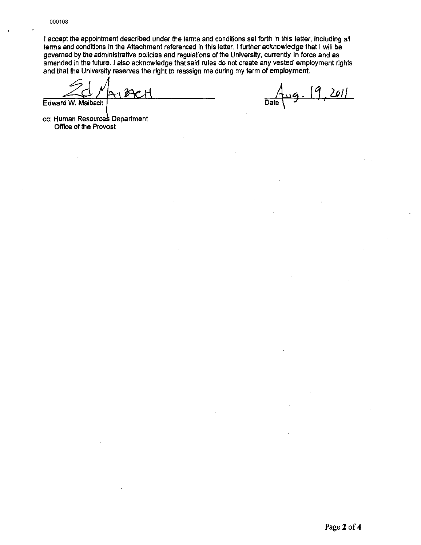I accept the appointment described under the terms and conditions set forth in this letter, including all terms and conditions in the Attachment referenced in this letter. I further acknowledge that I will be governed by the administrative policies and regulations of the University, currently in force and as amended in the future. I also acknowledge that said rules do not create any vested employment rights and that the University reserves the right to reassign me during my term of employment.

ଡି+ Edward W. Maibach

 $201$ Date

cc: Human Resources Department Office of the Provost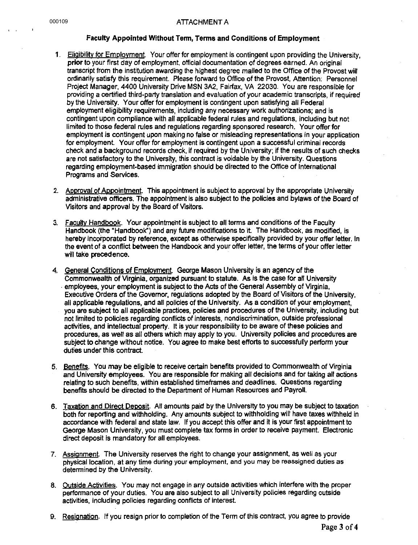## 000109 ATTACHMENT A

## Faculty Appointed Without Term, Terms and Conditions of Employment

- 1. Eligibility for Employment. Your offer for employment is contingent upon providing the University, **prior** to your first day of employment, official documentation of degrees earned. An original transcript from the institution awarding the highest degree mailed to the Office of the Provost will ordinarily satisfy this requirement. Please forward to Office of the Provost, Attention: Personnel Project Manager, 4400 University Drive MSN 3A2, Fairfax, VA 22030. You are responsible for providing a certified third-party translation and evaluation of your academic transcripts, if required by the University. Your offer for employment is contingent upon satisfying all Federal employment eligibility requirements, including any necessary work authorizations; and is contingent upon compliance with all applicable federal rules and regulations, including but not limited to those federal rules and regulations regarding sponsored research. Your offer for employment is contingent upon making no false or misleading representations in your application for employment. Your offer for employment is contingent upon a successful criminal records check and a background records check, if required by the University; if the results of such checks are not satisfactory to the University, this contract is voidable by the University. Questions regarding employment-based immigration should be directed to the Office of International Programs and Services.
- 2. Approval of Appointment. This appointment is subject to approval by the appropriate University administrative officers. The appointment is also subject to the policies and bylaws of the Board of Visitors and approval by the Board of Visitors.
- 3. Faculty Handbook. Your appointment is subject to all terms and conditions of the Faculty Handbook (the "Handbook") and any future modifications to it. The Handbook, as modified, is hereby incorporated by reference, except as otherwise specifically provided by your offer letter. In the event of a conflict between the Handbook and your offer letter, the terms of your offer letter will take precedence.
- 4. General Conditions of Employment. George Mason University is an agency of the Commonwealth of Virginia, organized pursuant to statute. As is the case for all University . employees, your employment is subject to the Acts of the General Assembly of Virginia, Executive Orders of the Governor, regulations adopted by the Board of Visitors of the University, all applicable regulations, and all policies of the University. As a condition of your employment, you are subject to all applicable practices, policies and procedures of the University, including but not limited to policies regarding conflicts of interests, nondiscrimination, outside professional activities, and intellectual property. It is your responsibility to be aware of these policies and procedures, as well as all others which *may* apply to you. University policies and procedures are subject to change without notice. You agree to make best efforts to successfully perform your duties under this contract.
- 5. Benefits. You may be eligible to receive certain benefits provided to Commonwealth of Virginia and University employees. You are responsible for making all decisions and for taking all actions relating to such benefits, within established timeframes and deadlines. Questions regarding benefits should be directed to the Department of Human Resources and Payroll.
- 6. Taxation and Direct Deposit. All amounts paid by the University to you may be subject to taxation both for reporting and withholding. Any amounts subject to withholding will have taxes withheld in accordance with federal and state law. If you accept this offer and it is your first appointment to George Mason University, you must complete tax forms in order to receive payment. Electronic direct deposit is mandatory for all employees.
- 7. Assignment. The University reserves the right to change your assignment, as well as your physical location, at any time during your employment, and you may be reassigned duties as determined by the University.
- 8. Outside Actjvities. You *may* not engage in any outside activities which interfere with the proper performance of your duties. You are also subject to all University policies regarding outside activities, including policies regarding conflicts of interest.
- 9. Resignation. If you resign prior to completion of the Term of this contract, you agree to provide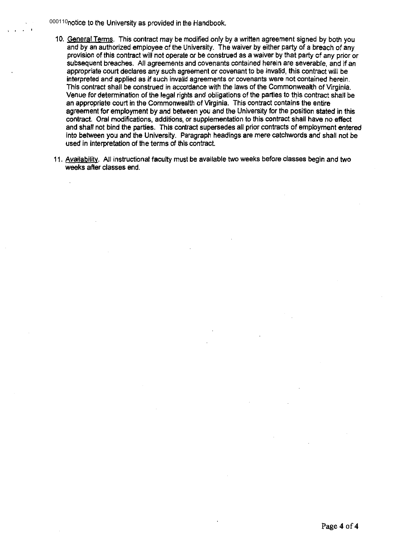000110notice to the University as provided in the Handbook.

- 10. General Terms. This contract may be modified only by a written agreement signed by both you and by an authorized employee of the University. The waiver by either party of a breach of any provision of this contract will not operate or be construed as a waiver by that party of any prior or subsequent breaches. All agreements and covenants contained herein are severable, and if an appropriate court declares any such agreement or covenant to be invalid, this contract will be interpreted and applied as if such invalid agreements or covenants were not contained herein. This contract shall be construed in accordance with the laws of the Commonwealth of Virginia. Venue for determination of the legal rights and obligations of the parties to this contract shall be an appropriate court in the Commonwealth of Virginia. This contract contains the entire agreement for employment by and between you and the University for the position stated in this contract. Oral modifications, additions, or supplementation to this contract shall have no effect and shall not bind the parties. This contract supersedes all prior contracts of employment entered into between you and the University. Paragraph headings are mere catchwords and shall not be used in interpretation of the terms of this contract
- 11. Availability. All instructional faculty must be available two weeks before classes begin and two weeks after classes end.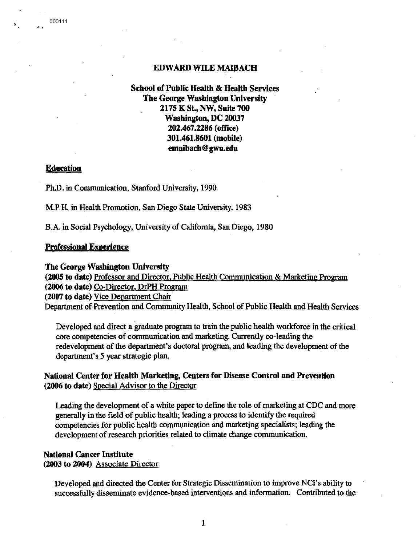# **EDWARD WILE MAIBACH**

# **School of Public Health** & **Health Services The George Washington University 2175 K St., NW, Suite 700 Washington, DC 20037 202.467 .2286 (office) 301.461.8601 (mobile) emaibach@gwu.edu**

# **Education**

000111

' '

Ph.D. in Communication, Stanford University, 1990

M.P.H. in Health Promotion, San Diego State University, 1983

B.A. in Social Psychology, University of California, San Diego, 1980

## **Professional Experience**

## **The George Washington University**

**(2005 to date)** Professor and Director, Public Health Communication & **Marketing** Program (2006 to date) Co-Director, DrPH Program

**(2007 to date)** Vice Department Chair

Department of Prevention and Community Health, School of Public Health and Health Services

Developed and direct a graduate program to train the public health workforce in the critical core competencies of communication and marketing. Currently co-leading the redevelopment of the department's doctoral program, and leading the development of the department's 5 year strategic plan.

# **National Center for Health Marketing, Centers for Disease Control and Prevention (2006 to date)** Special Advisor to the Director

Leading the development of a white paper to define the role of marketing at CDC and more generally in the field of public health; leading a process to identify the required competencies for public health communication and marketing specialists; leading the development of research priorities related to climate change communication.

# **National Cancer Institute (2003 to 2004)** Associate Director

Developed and directed the Center for Strategic Dissemination to improve NCI's ability to successfully disseminate evidence-based interventions and information. Contributed to the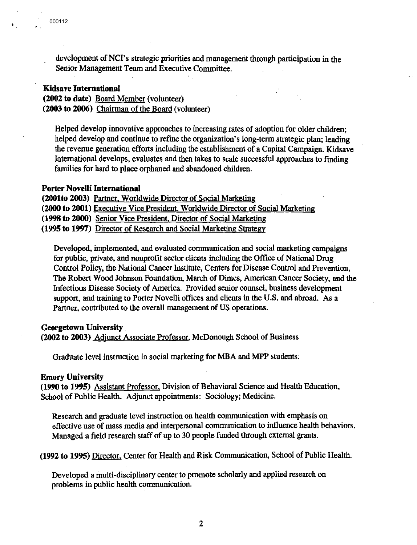. '

development of NCI's strategic priorities and management through participation in the Senior Management Team and Executive Committee.

# **Kidsave International**

**(2002 to date)** Board Member (volunteer) **(2003 to 2006)** Chairman of the Board (volunteer)

Helped develop innovative approaches to increasing rates of adoption for older children; helped develop and continue to refine the organization's long-term strategic plan; leading the revenue generation efforts including the establishment of a Capital Campaign. Kidsave International develops, evaluates and then takes to scale successful approaches to finding families for hard to place orphaned and abandoned children.

## **Porter Novelli International**

**(2001to 2003)** Partner. Worldwide Director of Social Marketing **(2000 to 2001)** Executive Vice President, Worldwide Director of Social Marketing **(1998 to 2000)** Senior Vice President, Director of Social Marketing **(1995 to 1997)** Director of Research and Social Marketing Strategy

Developed, implemented, and evaluated communication and social marketing campaigns for public, private, and nonprofit sector clients including the Office of National Drug Control Policy, the National Cancer Institute, Centers for Disease Control and Prevention, The Robert Wood Johnson Foundation, March of Dimes, American Cancer Society, and the Infectious Disease Society of America. Provided senior counsel, business development support, and training to Porter Novelli offices and clients in the U.S. and abroad. As a Partner, contributed to the overall management of US operations.

## **Georgetown University**

**(2002 to 2003)** Adjunct Associate Professor, McDonough School of Business

Graduate level instruction in social marketing for MBA and MPP students:

## **Emory University**

**(1990 to 1995)** Assistant Professor. Division of Behavioral Science and Health Education, School of Public Health. Adjunct appointments: Sociology; Medicine.

Research and graduate level instruction on health communication with emphasis on effective use of mass media and interpersonal communication to influence health behaviors. Managed a field research staff of up to 30 people funded through external grants.

**(1992 to 1995)** Director. Center for Health and Risk Communication, School of Public Health.

Developed a multi-disciplinary center to promote scholarly and applied research on problems in public health communication.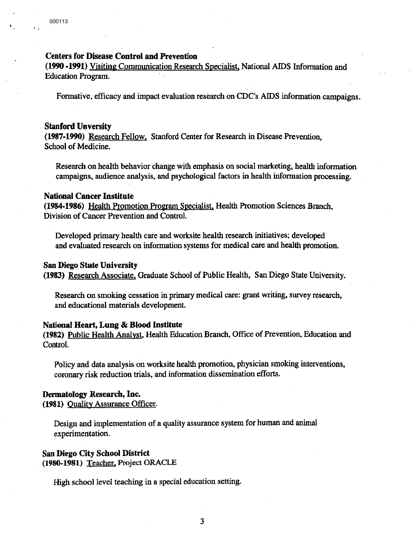# **Centers for Disease Control and Prevention**

**(1990 -1991)** Visiting Communication Research Specialist, National AIDS Information and Education Program.

Formative, efficacy and impact evaluation research on CDC's AIDS information campaigns.

# **Stanford Unversity**

**(1987-1990)** Research Fellow, Stanford Center for Research in Disease Prevention, School of Medicine.

Research on health behavior change with emphasis on social marketing, health information campaigns, audience analysis, and psychological factors in health information processing.

# **National Cancer Institute**

**(1984-1986)** Health Promotion Program Specialist, Health Promotion Sciences Branch, Division of Cancer Prevention and Control.

Developed primary health care and worksite health research initiatives; developed and evaluated research on information systems for medical care and health promotion.

### **San Diego State University**

**(1983)** Research Associate, Graduate School of Public Health, San Diego State University.

Research on smoking cessation in primary medical care: grant writing, survey research, and educational materials development.

#### **National Heart, Lung** & **Blood Institute**

**(1982)** Public Health Analyst, Health Education Branch, Office of Prevention, Education and Control.

Policy and data analysis on worksite health promotion, physician smoking interventions, coronary risk reduction trials, and information dissemination efforts.

## **Dermatology Research, Inc.**

**(1981)** Quality Assurance Officer.

Design and implementation of a quality assurance system for human and animal experimentation.

## **San Diego City School District (1980-1981)** Teacher, Project ORACLE

High school level teaching in a special education setting.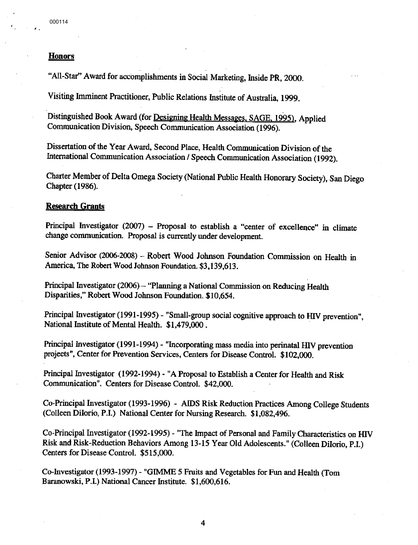' .

# **Honors**

"All-Star" Award for accomplishments in Social Marketing, Inside **PR,** 2000.

Visiting Imminent Practitioner, Public Relations Institute of Australia, 1999.

Distinguished Book Award (for Designing Health Messages. SAGE, 1995), Applied Communication Division, Speech Communication Association (1996).

Dissertation of the Year Award, Second Place, Health Communication Division of the International Communication Association/ Speech Communication Association (1992).

Charter Member of Delta Omega Society (National Public Health Honorary Society), San Diego Chapter (1986).

## **Research Grants**

Principal Investigator (2007) - Proposal to establish a "center of excellence" in climate change communication. Proposal is currently under development.

Senior Advisor (2006-2008) - Robert Wood Johnson Foundation Commission on Health in America, The Robert Wood Johnson Foundation. \$3,139,613.

Principal Investigator (2006) - "Planning a National Commission on Reducing Health Disparities," Robert Wood Johnson Foundation. \$10,654.

Principal Investigator (1991-1995)- "Small-group social cognitive approach to HIV prevention", National Institute of Mental Health. \$1,479,000.

Principal Investigator (1991-1994) - "Incorporating mass media into perinatal HIV prevention projects", Center for Prevention Services, Centers for Disease Control. \$102,000.

Principal Investigator (1992-1994) - "A Proposal to Establish a Center for Health and Risk Communication". Centers for Disease Control. \$42,000.

Co-Principal Investigator (1993-1996) - AIDS Risk Reduction Practices Among College Students (Colleen Diiorio, P.I.) National Center for Nursing Research. \$1,082,496.

Co-Principal Investigator (1992-1995) - "The Impact of Personal and Family Characteristics on HIV Risk and Risk-Reduction Behaviors Among 13-15 Year Old Adolescents." (Colleen Diiorio, P.1.) Centers for Disease Control. \$515,000.

Co-Investigator (1993-1997) - "GIMME *5* Fruits and Vegetables for Fun and Health (Tom Baranowski, P.1.) National Cancer Institute. \$1,600,616.

4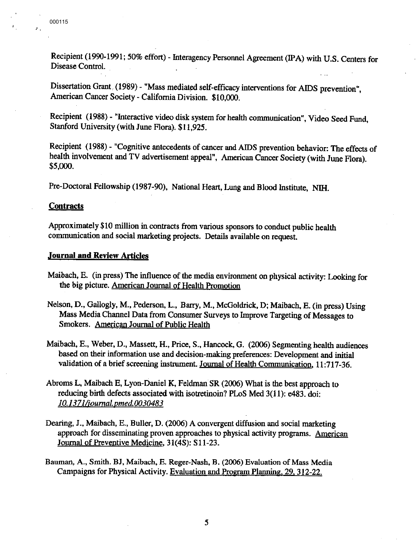$\mathbf{r}$ 

Recipient (1990-1991; 50% effort) - Interagency Personnel Agreement (IPA) with U.S. Centers for Disease Control.

Dissertation Grant. (1989) - "Mass mediated self-efficacy interventions for AIDS prevention", American Cancer Society- California Division. \$10,000.

Recipient (1988) - "Interactive video disk system for health communication", Video Seed Fund, Stanford University (with June Flora). \$11,925.

Recipient ( 1988) - "Cognitive antecedents of cancer and AIDS prevention behavior: The effects of health involvement and TV advertisement appeal", American Cancer Society (with June Flora). \$5,000.

Pre-Doctoral Fellowship (1987-90), National Heart, Lung and Blood Institute, NIH.

# **Contracts**

Approximately \$10 million in contracts from various sponsors to conduct public health communication and social marketing projects. Details available on request.

## **Journal and Review Articles**

- Maibach, E. (in press) The influence of the media environment on physical activity: Looking for the big picture. American Journal of Health Promotion
- Nelson, D., Gallogly, **M.,** Pederson, L., Barry, M., McGoldrick, D; Maibach, E. (in press) Using Mass Media Channel Data from Consumer Surveys to hnprove Targeting of Messages to Smokers. American Journal of Public Health
- Maibach, E., Weber, D., Massett, H., Price, S., Hancock, G. (2006) Segmenting health audiences based on their information use and decision-making preferences: Development and initial validation of a brief screening instrument. Journal of Health Communication, 11:717-36.
- Abrams L, Maibach E, Lyon-Daniel **K,** Feldman SR (2006) What is the best approach to reducing birth defects associated with isotretinoin? PLoS Med 3(11): e483. doi: *10.1371/iournal. pmed.0030483*
- Dearing, J., Maibach, E., Buller, D. (2006) A convergent diffusion and social marketing approach for disseminating proven approaches to physical activity programs. American Journal of Preventive Medicine, 31(4S): S11-23.
- Bauman, A., Smith. BJ, Maibach, E. Reger-Nash, B. (2006) Evaluation of Mass Media Campaigns for Physical Activity. Evaluation and Program Planning. 29, 312-22.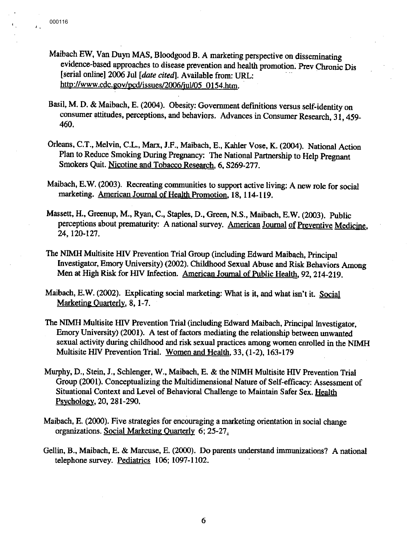'.

- Maibach EW, Van Duyn **MAS,** Bloodgood B. A marketing perspective on disseminating evidence-based approaches to disease prevention and health promotion. Prev Chronic Dis [serial online] 2006 Jul *[date cited].* Available from: URL: http://www.cdc.gov/pcd/issues/2006/jul/05 0154.htm.
- Basil, M. D. & Maibach, E. (2004). Obesity: Government definitions versus self-identity on consumer attitudes, perceptions, and behaviors. Advances in Consumer Research, 31, 459- 460.
- Orleans, C.T., Melvin, C.L., Marx, J.P., Maibach, E., Kahler Vose, K. (2004). National Action Plan to Reduce Smoking During Pregnancy: The National Partnership to Help Pregnant Smokers Quit. Nicotine and Tobacco Research, 6, S269-277.
- Maibach, E.W. (2003). Recreating communities to support active living: A new role for social marketing. American Journal of Health Promotion, 18, 114-119.
- Massett, H., Greenup, M., Ryan, C., Staples, D., Green, **N.S.,** Maibach, E.W. (2003). Public perceptions about prematurity: A national survey. American Journal of Preventive Medicine, 24, 120-127.
- The NIMH Multisite HIV Prevention Trial Group (including Edward Maibach, Principal Investigator, Emory University) (2002). Childhood Sexual Abuse and Risk Behaviors Among Men at High Risk for HIV Infection. American Journal of Public Health, 92, 214-219.
- Maibach, E.W. (2002). Explicating social marketing: What is it, and what isn't it. Social Marketing Quarterly, 8, 1-7.
- The NIMH Multisite HIV Prevention Trial (including Edward Maibach, Principal Investigator, Emory University) (2001). A test of factors mediating the relationship between unwanted sexual activity during childhood and risk sexual practices among women enrolled in the NIMH Multisite HIV Prevention Trial. Women and Health, 33, (1-2), 163-179
- Murphy, D., Stein, J., Schlenger, W., Maibach, E. & the NIMH Multisite HIV Prevention Trial Group (2001). Conceptualizing the Multidimensional Nature of Self-efficacy: Assessment of Situational Context and Level of Behavioral Challenge to Maintain Safer Sex. Health Psychology, 20, 281-290.
- Maibach, E. (2000). Five strategies for encouraging a marketing orientation in social change organizations. Social Marketing Quarterly 6; 25-27.
- Gellin, B., Maibach, E. & Marcuse, E. (2000). Do parents understand immunizations? A national telephone survey. Pediatrics 106; 1097-1102.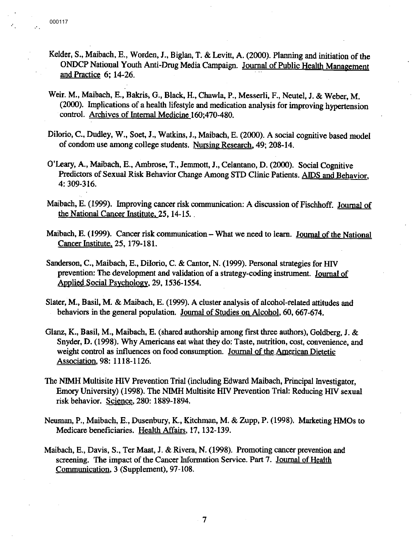- Kelder, S., Maibach, E., Worden, J., Biglan, T. & Levitt, A. (2000). Planning and initiation of the ONDCP National Youth Anti-Drug Media Campaign. Journal of Public Health Management and Practice  $6: 14-26$ .
- Weir. M., Maibach, E., Bakris, G., Black, H., Chawla, P., Messerli, F., Neutel, J. & Weber, M. (2000). Implications of a health lifestyle and medication analysis for improving hypertension control. Archives of Internal Medicine 160:470-480.
- Dilorio, C., Dudley, W., Soet, J., Watkins, J., Maibach, E. (2000). A social cognitive based model of condom use among college students. Nursing Research, 49; 208-14.
- O'Leary, A., Maibach, E., Ambrose, T., Jemmott, J., Celantano, D. (2000). Social Cognitive Predictors of Sexual Risk Behavior Change Among STD Clinic Patients. AIDS and Behavior, 4: 309-316.
- Maibach, E. (1999). Improving cancer risk communication: A discussion of Fischhoff. Journal of the National Cancer Institute. 25, 14-15.
- Maibach, E. (1999). Cancer risk communication What we need to learn. Journal of the National Cancer Institute. 25, 179-181.
- Sanderson, C., Maibach, E., DiIorio, C. & Cantor, N. (1999). Personal strategies for *HIV* prevention: The development and validation of a strategy-coding instrument. Journal of Applied Social Psychology, 29, 1536-1554.
- Slater, **M.,** Basil, M. & Maibach, E. (1999). A cluster analysis of alcohol-related attitudes and behaviors in the general population. Journal of Studies on Alcohol, 60, 667-674.
- Glanz, K., Basil, M., Maibach, E. (shared authorship among first three authors), Goldberg, **J.** & Snyder, D. (1998). Why Americans eat what they do: Taste, nutrition, cost, convenience, and weight control as influences on food consumption. Journal of the American Dietetic Association, 98: 1118-1126.
- The N1MH Multisite HIV Prevention Trial (including Edward Maibach, Principal Investigator, Emory University) (1998). The NIMH Multisite *HN* Prevention Trial: Reducing *HN* sexual risk behavior. Science, 280: 1889-1894.
- Neuman, P., Maibach, E., Dusenbury, K., Kitchman, **M.** & Zupp, P. (1998). Marketing HMOs to Medicare beneficiaries. Health Affairs, 17, 132-139.
- Maibach, E., Davis, S., Ter Maat, J. & Rivera, **N.** (1998). Promoting cancer prevention and screening. The impact of the Cancer Information Service. Part 7. Journal of Health Communication, 3 (Supplement), 97-108.

7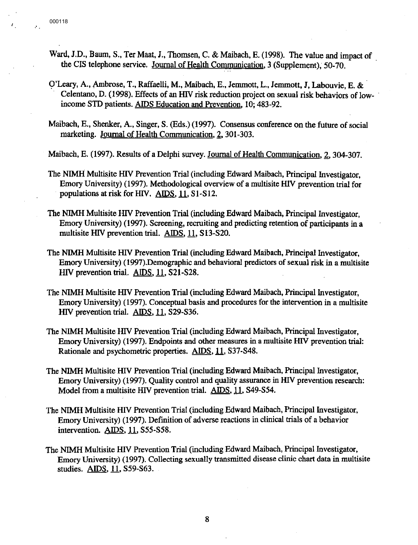$\mathcal{F}^{\pm}$ 

- Ward, J.D., Baum, S., Ter Maat, J., Thomsen, C. & Maibach, E. (1998). The value and impact of the CIS telephone service. Journal of Health Communication, 3 (Supplement), 50-70.
- 9'Leary, A., Ambrose, T., Raffaelli, M., Maibach, E., Jemmott, L., Jemmott, J, Labouvie, E. & · Celentano, D. ( 1998). Effects of an HlV risk reduction project on sexual risk behaviors of low- · income STD patients. AIDS Education and Prevention, 10; 483-92.
- Maibach, E., Shenker, A., Singer, S. (Eds.) (1997). Consensus conference on the future of social marketing. Journal of Health Communication, *1,* 301-303.

Maibach, E. (1997). Results of a Delphi survey. Journal of Health Communication, 2, 304-307.

- The **NIMH** Multisite HlV Prevention Trial (including Edward Maibach, Principal Investigator, Emory University) (1997). Methodological overview of a multisite HlV prevention trial for populations at risk for HIV. AIDS, 11, S1-S12.
- The NIMH Multisite HlV Prevention Trial (including Edward Maibach, Principal Investigator, Emory University) (1997). Screening, recruiting and predicting retention of participants in a multisite HIV prevention trial. AIDS, 11, S13-S20.
- The NIMH Multisite HlV Prevention Trial (including Edward Maibach, Principal Investigator, Emory University) (1997).Demographic and behavioral predictors of sexual risk in a multisite *HN* prevention trial. AIDS, 11, S21-S28.
- The NIMH Multisite HIV Prevention Trial (including Edward Maibach, Principal Investigator, Emory University) (1997). Conceptual basis and procedures for the intervention in a multisite HIV prevention trial. AIDS, 11, S29-S36.
- The NIMH Multisite HIV Prevention Trial (including Edward Maibach, Principal Investigator, Emory University) (1997). Endpoints and other measures in a multisite HIV prevention trial: Rationale and psychometric properties. AIDS, 11, S37-S48.
- The NIMH Multisite HIV Prevention Trial (including Edward Maibach, Principal Investigator, Emory University) (1997). Quality control and quality assurance in HIV prevention research: Model from a multisite HIV prevention trial. AIDS, 11, S49-S54.
- The **NIMH** Multisite HIV Prevention Trial (including Edward Maibach, Principal Investigator, Emory University) (1997). Definition of adverse reactions in clinical trials of a behavior intervention. **AIDS,** ll, S55-S58.
- The NIMH Multisite HIV Prevention Trial (including Edward Maibach, Principal Investigator, Emory University) (1997). Collecting sexually transmitted disease clinic chart data in multisite studies. **AIDS**, 11, S59-S63.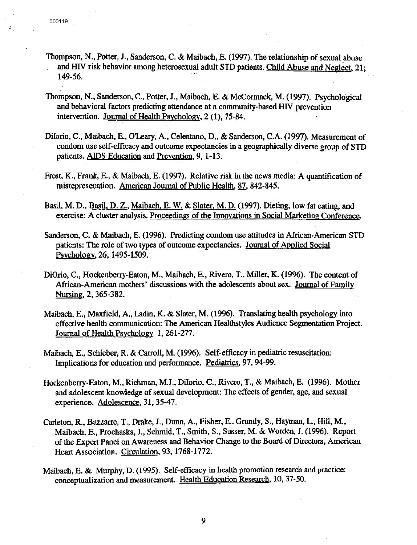- Thompson, N., Potter, J., Sanderson, C. & Maibach, E. (1997). The relationship of sexual abuse and *HN* risk behavior among heterosexual adult STD patients. Child Abuse and Neglect, 21; 149-56.
- Thompson, N., Sanderson, C., Potter, J., Maibach, E. &.McCormack, M. (1997). Psychological and behavioral factors predicting attendance at a community-based *HN* prevention intervention. Journal of Health Psychology, 2 (1), 75-84.
- Diiorio, C., Maibach, E., O'Leary, A., Celentano, D., & Sanderson, C.A. (1997). Measurement of condom use self-efficacy and outcome expectancies in a geographically diverse group of STD patients. AIDS Education and Prevention, 9, 1-13.
- Frost, K., Frank, E., & Maibach, E. (1997). Relative risk in the news media: A quantification of misrepresenation. American Journal of Public Health, 87, 842-845.
- Basil, M. D., Basil, D. Z., Maibach, E. W. & Slater, M. D. (1997). Dieting, low fat eating, and exercise: A cluster analysis. Proceedings of the Innovations in Social Marketing Conference.
- Sanderson, C. & Maibach, E. (1996). Predicting condom use attitudes in African-American STD patients: The role of two types of outcome expectancies. Journal of Applied Social Psychology, 26, 1495-1509.
- DiOrio, C., Hockenberry-Eaton, **M.,** Maibach, E., Rivero, T., Miller, K. (1996). The content of African-American mothers' discussions with the adolescents about sex. Journal of Family Nursing, 2, 365-382.
- Maibach, E., Maxfield, A., Ladin, K. & Slater, **M.** (1996). Translating health psychology into effective health communication: The American Healthstyles Audience Segmentation Project. Journal of Health Psychology **l,** 261-277.
- Maibach, E., Schieber, R. & Carroll, **M.** (1996). Self-efficacy in pediatric resuscitation: Implications for education and performance. Pediatrics, 97, 94-99.
- Hockenberry-Eaton, **M.,** Richman, M.J., Diiorio, C., Rivero, T., & Maibach, E. (1996). Mother and adolescent knowledge of sexual development: The effects of gender, age, and sexual experience. Adolescence, 31, 35-47.
- Carleton, **R.,** Bazzarre, T., Drake, J., Dunn, A., Fisher, E., Grundy, S., Hayman, L., Hill, M., Maibach, E., Prochaska, J., Schmid, T., Smith, S., Susser, M. & Worden, J. (1996). Report of the Expert Panel on Awareness and Behavior Change to the Board of Directors, American Heart Association. Circulation, 93, 1768-1772.
- Maibach, E. & Murphy, D. (1995). Self-efficacy in health promotion research and practice: conceptualization and measurement. Health Education Research, 10, 37-50.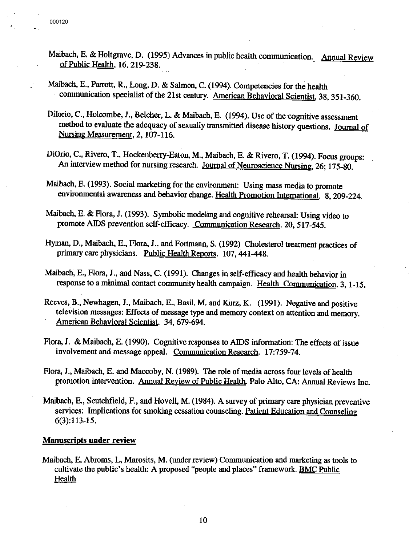- Maibach, E. & Holtgrave, D. (1995) Advances in public health communication. Annual Review of Public Health, 16, 219-238.
- Maibach, E., Parrott, **R.,** Long, D. & Salmon, C. (1994). Competencies for the health · communication specialist of the 21st century. American Behavioral Scientist, 38, 351-360.
- Diiorio, C., Holcombe, **J.,** Belcher, L. & Maibach, E. (1994). Use of the cognitive assessment method to evaluate the adequacy of sexually transmitted disease history questions. Journal of Nursing Measurement, 2, 107-116.
- DiOrio, C., Rivero, T., Hockenberry-Eaton, **M.,** Maibach, E. & Rivero, T. (1994). Focus groups: An interview method for nursing research. Journal of Neuroscience Nursing, 26; 175-80.
- Maibach, E. (1993). Social marketing for the environment: Using mass media to promote environmental awareness and behavior change. Health Promotion International. 8, 209-224.
- Maibach, E. & Flora, J. (1993). Symbolic modeling and cognitive rehearsal: Using video to promote AIDS prevention self-efficacy. Communication Research. 20, 517-545.
- Hyman, D., Maibach, E., Flora, I., and Fortmann, S. (1992) Cholesterol treatment practices of primary care physicians. Public Health Reports. 107, 441-448.
- Maibach, E., Flora, **J.,** and Nass, C. (1991). Changes in self-efficacy and health behavior in response to a minimal contact community health campaign. Health Communication. 3, 1-15.
- Reeves, B., Newhagen, I., Maibach, E., Basil, **M.** and **Kurz, K.** (1991). Negative and positive television messages: Effects of message type and memory context on attention and memory. American Behavioral Scientist. 34, 679-694.
- Flora, I. & Maibach, E. (1990). Cognitive responses to AIDS information: The effects of issue involvement and message appeal. Communication Research. 17:759-74.
- Flora, I., Maibach, E. and Maccoby, N. (1989). The role of media across four levels of health promotion intervention. Annual Review of Public Health. Palo Alto, CA: Annual Reviews Inc.
- Maibach, E., Scutchfield, F., and Hovell, M. (1984). A survey of primary care physician preventive services: Implications for smoking cessation counseling. Patient Education and Counseling 6(3):113-15.

# **Manuscripts under review**

Maibach, E, Abroms, L, Marosits, **M.** (under review) Communication and marketing as tools to cultivate the public's health: A proposed "people and places" framework. BMC Public **Health**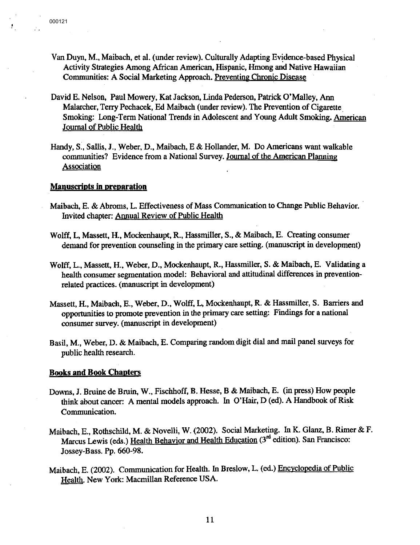Ţ.

- Van Duyn, M., Maibach, et al. (under review). Culturally Adapting Evidence-based Physical Activity Strategies Among African American, Hispanic, Hmong and Native Hawaiian Communities: A Social Marketing Approach. Preventing Chronic Disease
- David E. Nelson, Paul Mowery, Kat Jackson, Linda Pederson, Patrick O'Malley, Ann Malarcher, Terry Pechacek, Ed Maibach (under review). The Prevention of Cigarette. Smoking: Long-Term National Trends in Adolescent and Young Adult Smoking. American Journal of Public Health
- Handy, S., Sallis, **J.,** Weber, D., Maibach, E & Hollander, **M.** Do Americans want walkable communities? Evidence from a National Survey. Journal of the American Planning **Association**

# **Manuscripts** in **preparation**

- Maibach, E. & Abroms, L. Effectiveness of Mass Communication to Change Public Behavior. · Invited chapter: Annual Review of Public Health
- Wolff, L, Massett, H., Mockenhaupt, R., Hassmiller, S., & Maibach, E. Creating consumer demand for prevention counseling in the primary care setting. (manuscript in development)
- Wolff, L., Massett, H., Weber, D., Mockenhaupt, R., Hassmiller, S. & Maibach, E. Validating a health conswner segmentation model: Behavioral and attitudinal differences in preventionrelated practices. (manuscript in development)
- Massett, H., Maibach, E., Weber, D., Wolff, L, Mockenhaupt, R. & Hassmiller, S. Barriers and opportunities to promote prevention in the primary care setting: Findings for a national consumer survey. (manuscript in development)
- Basil, **M.,** Weber, D. & Maibach, E. Comparing random digit dial and mail panel surveys for public health research.

#### **Books and Book Chapters**

- Downs, J. Bruine de Bruin, W., Fischhoff, **B.** Hesse, B & Maibach, E. (in press) How people think about cancer: A mental models approach. In O'Hair, D (ed). A Handbook of Risk Communication.
- Maibach, E., Rothschild, **M.** & Novelli, **W.** (2002). Social Marketing. In K. Glanz, B. Rimer & F. Marcus Lewis (eds.) Health Behavior and Health Education (3<sup>rd</sup> edition). San Francisco: Jossey-Bass. Pp. 660-98.
- Maibach, E. (2002). Communication for Health. In Breslow, L. (ed.) Encyclopedia of Public Health. New York: Macmillan Reference USA.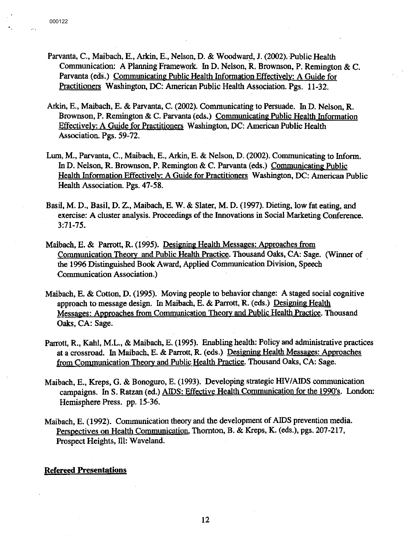- Parvanta, C., Maibach, E., Arkin, E., Nelson, D. & Woodward, J. (2002). Public Health Communication: A Planning Framework. In D. Nelson, R. Brownson, P. Remington & C. Parvanta (eds.) Communicating Public Health Information Effectively: A Guide for Practitioners Washington, DC: American Public Health Association. Pgs. 11-32.
- Arkin, E., Maibach, E. & Parvanta, C. (2002). Communicating to Persuade. In D. Nelson, **R.**  Brownson, P. Remington & C. Parvanta (eds.) Communicating Public Health Information Effectively: A Guide for Practitioners Washington, DC: American Public Health Association. Pgs. 59-72.
- Lum, M., Parvanta, C., Maibach, E., Arkin, E. & Nelson, D. (2002). Communicating to Inform. In D. Nelson, **R.** Brownson, P. Remington & C. Parvanta (eds.) Communicating Public Health Information Effectively: A Guide for Practitioners Washington, DC: American Public Health Association. Pgs. 47-58.
- Basil, M. D., Basil, D. Z., Maibach, E.W. & Slater, M. D. (1997). Dieting, low fat eating, and exercise: A cluster analysis. Proceedings of the Innovations in Social Marketing Conference. 3:71-75.
- Maibach, E. & Parrott, R. (1995). Designing Health Messages: Approaches from Communication Theory and Public Health Practice. Thousand Oaks, CA: Sage. (Winner of the 1996 Distinguished Book Award, Applied Communication Division, Speech Communication Association.)
- Maibach, E. & Cotton, D. (1995). Moving people to behavior change: A staged social cognitive approach to message design. In Maibach, E. & Parrott, R. (eds.) Designing Health Messages: Approaches from Communication Theory and Public Health Practice. Thousand Oaks, CA: Sage.
- Parrott, R., Kahl, M.L., & Maibach, E. (1995). Enabling health: Policy and administrative practices at a crossroad. In Maibach, E. & Parrott, R. (eds.) Designing Health Messages: Approaches from Communication Theory and Public Health Practice. Thousand Oaks, CA: Sage.
- Maibach, E., Kreps, G. & Bonoguro, E. (1993). Developing strategic HIV/AIDS communication campaigns. In S. Ratzan (ed.) AIDS: Effective Health Communication for the 1990's. London: Hemisphere Press. pp. 15-36.
- Maibach, E. (1992). Communication theory and the development of AIDS prevention media. Perspectives on Health Communication, Thornton, B. & Kreps, **K.** (eds.), pgs. 207-217, Prospect Heights, Ill: Waveland.

# **Refereed Presentations**

12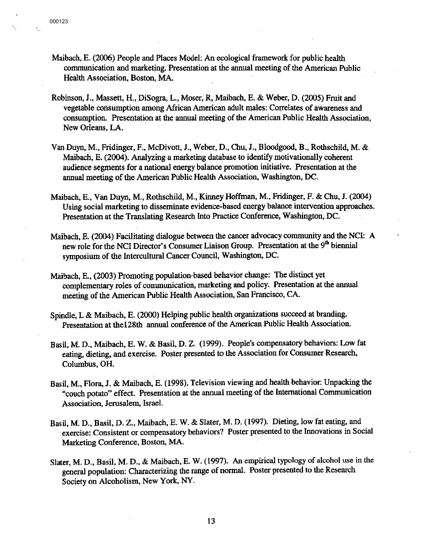- Maibach, E. (2006) People and Places Model: An ecological framework for public health communication and marketing. Presentation at the annual meeting of the American Public Health Association, Boston, MA.
- Robinson, J., Massett, H., DiSogra, L., Moser, R, Maibach, E. & Weber, D. (2005) Fruit and vegetable consumption among African American adult males: Correlates of awareness and consumption. Presentation at the annual meeting of the American Public Health Association, New Orleans, LA.
- Van Duyn, M., Fridinger, F., McDivott, J., Weber, D., Chu, J., Bloodgood, B., Rothschild, M. & Maibach, E. (2004). Analyzing a marketing database to identify motivationally coherent audience segments for a national energy balance promotion initiative. Presentation at the annual meeting of the American Public Health Association, Washington, DC.
- Maibach, E., Van Duyn, M., Rothschild, M., Kinney Hoffman, M., Fridinger, F. & Chu, J. (2004) Using social marketing to disseminate evidence-based energy balance intervention approaches. Presentation at the Translating Research Into Practice Conference, Washington, DC.
- Maibach, E. (2004) Facilitating dialogue between the cancer advocacy community and the NCI: A new role for the NCI Director's Consumer Liaison Group. Presentation at the 9<sup>th</sup> biennial symposium of the Intercultural Cancer Council, Washington, DC.
- Maibach, E., (2003) Promoting population-based behavior change: The distinct yet complementary roles of communication, marketing and policy. Presentation at the annual meeting of the American Public Health Association, San Francisco, CA.
- Spindle, L & Maibach, E. (2000) Helping public health organizations succeed at branding. Presentation at thel28th annual conference of the American Public Health Association.
- Basil, M. D., Maibach, E.W. & Basil, D. Z. (1999). People's compensatory behaviors: Low fat eating, dieting, and exercise. Poster presented to the Association for Consumer Research, Columbus, OH.
- Basil, **M.,** Flora, **J.** & Maibach, E. (1998). Television viewing and health behavior: Unpacking the "couch potato" effect. Presentation at the annual meeting of the International Communication Association, Jerusalem, Israel.
- Basil, M. D., Basil, D. Z., Maibach, E.W. & Slater, M. D. (1997). Dieting, low fat eating, and exercise: Consistent or compensatory behaviors? Poster presented to the Innovations in Social Marketing Conference, Boston, **MA.**
- Slater, M. D., Basil, M. D., & Maibach, E.W. (1997). An empirical typology of alcohol use in the general population: Characterizing the range of normal. Poster presented to the Research Society on Alcoholism, New York, NY.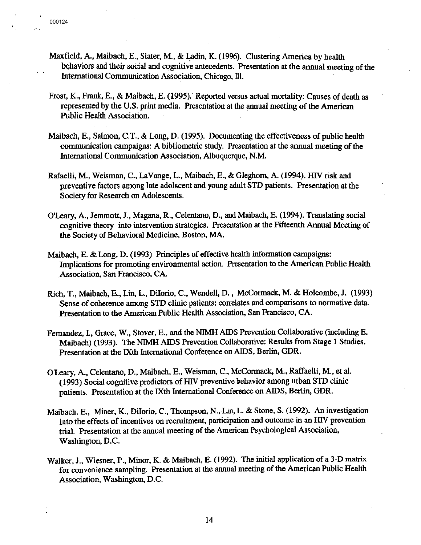- Maxfield, A., Maibach, E., Slater, M., & Ladin, K. (1996). Clustering America by health behaviors and their social and cognitive antecedents. Presentation at the annual meeting of the International Communication Association, Chicago, Ill.
- Frost, K., Frank, E., & Maibach, E. (1995). Reported versus actual mortality: Causes of death as represented by the U.S. print media. Presentation at the annual meeting of the American Public Health Association.
- Maibach, E., Salmon, C.T., & Long, D. (1995). Documenting the effectiveness of public health communication campaigns: A bibliometric study. Presentation at the annual meeting of the International Communication Association, Albuquerque, **N.M.**
- Rafaelli, **M.,** Weisman, C., LaVange, L., Maibach, E., & Gleghorn, A. (1994). HIV risk and preventive factors among late adolscent and young adult STD patients. Presentation at the Society for Research on Adolescents.
- O'Leary, A., Jemmott, **J.,** Magana, **R.,** Celentano, D., and Maibach, E. (1994). Translating social cognitive theory into intervention strategies. Presentation at the Fifteenth Annual Meeting of the Society of Behavioral Medicine, Boston, **MA.**
- Maibach, E. & Long, D. (1993) Principles of effective health information campaigns: Implications for promoting environmental action. Presentation to the American Public Health Association, San Francisco, CA.
- Rich, T., Maibach, E., Lin, L., Diiorio, C., Wendell, D., McCormack, **M.** & Holcombe, J. (1993) Sense of coherence among STD clinic patients: correlates and comparisons to normative data. Presentation to the American Public Health Association, San Francisco, CA.
- Fernandez, I., Grace, **W.,** Stover, E., and the **NIMH** AIDS Prevention Collaborative (including E. Maibach) (1993). The NlMH AIDS Prevention Collaborative: Results from Stage 1 Studies. Presentation at the IXth International Conference on AIDS, Berlin, GDR.
- O'Leary, A., Celentano, D., Maibach, E., Weisman, C., McCormack, M., Raffaelli, M., et al. (1993) Social cognitive predictors of HIV preventive behavior among urban STD clinic patients. Presentation at the IXth International Conference on AIDS, Berlin, GDR.
- Maibach. E., Miner, K., Diiorio, C., Thompson, N., Lin, L. & Stone, S. (1992). An investigation into the effects of incentives on recruitment, participation and outcome in an HIV prevention trial. Presentation at the annual meeting of the American Psychological Association, Washington, D.C.
- Walker, J., Wiesner, **P.,** Minor, **K.** & Maibach, E. (1992). The initial application of a 3-D matrix for convenience sampling. Presentation at the annual meeting of the American Public Health Association, Washington, D.C.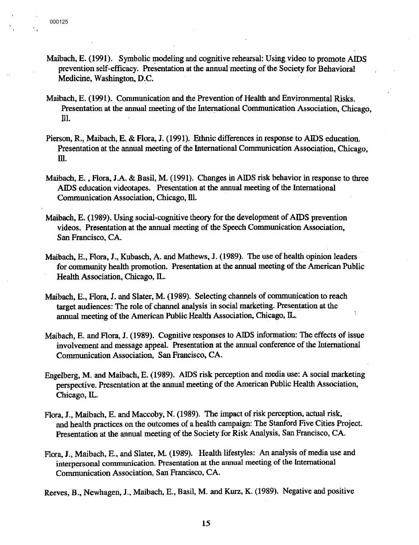- Maibach, E. (1991). Symbolic modeling and cognitive rehearsal: Using video to promote AIDS prevention self-efficacy. Presentation at the annual meeting of the Society for Behavioral Medicine, Washington, D.C.
- Maibach, E. (1991). Communication and the Prevention of Health and Environmental Risks. Presentation at the annual meeting of the International Communication Association, Chicago, Ill.
- Pierson, R., Maibach, E. & Flora, **J.** (1991). Ethnic differences in response to AIDS education. Presentation at the annual meeting of the International Communication Association, Chicago, Ill.
- Maibach, E., Flora, I.A. & Basil, M. (1991). Changes in AIDS risk behavior in response to three AIDS education videotapes. Presentation at the annual meeting of the International Communication Association, Chicago, Ill.
- Maibach, E. (1989). Using social-cognitive theory for the development of AIDS prevention videos. Presentation at the annual meeting of the Speech Communication Association, San Francisco, CA.
- Maibach, E., Flora, J., Kubasch, A. and Mathews, J. (1989). The use of health opinion leaders for community health promotion. Presentation at the annual meeting of the American Public Health Association, Chicago, IL.
- Maibach, E., Flora, J. and Slater, M. (1989). Selecting channels of communication to reach target audiences: The role of channel analysis in social marketing. Presentation at the annual meeting of the American Public Health Association, Chicago, IL.
- Maibach, E. and Flora, J. ( 1989). Cognitive responses to AIDS information: The effects of issue involvement and message appeal. Presentation at the annual conference of the International Communication Association, San Francisco, CA.
- Engelberg, M. and Maibach, E. (1989). AIDS risk perception and media use: A social marketing perspective. Presentation at the annual meeting of the American Public Health Association, Chicago, IL.
- Flora, **J.,** Maibach, E. and Maccoby, **N.** (1989). The impact of risk perception, actual risk, and health practices on the outcomes of a health campaign: The Stanford Five Cities Project. Presentation at the annual meeting of the Society for Risk Analysis, San Francisco, CA.
- Flora, **J.,** Maibach, E., and Slater, **M.** (1989). Health lifestyles: An analysis of media use and interpersonal communication. Presentation at the annual meeting of the International Communication Association, San Francisco, CA.

Reeves, B., Newhagen, J., Maibach, E., Basil, M. and Kurz, K. (1989). Negative and positive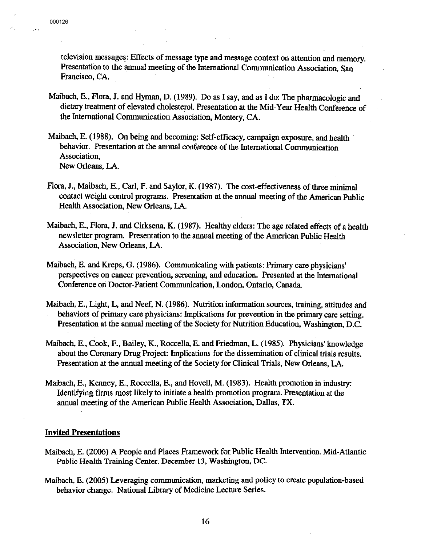television messages: Effects of message type and message context on attention and memory. Presentation to the annual meeting of the International Communication Association, San Francisco, CA.

- Maibach, E., Flora, **J.** and Hyman, D. (1989). Do as I say, and as I do: The pharniacologic and dietary treatment of elevated cholesterol. Presentation at the Mid-Year Health Conference of the International Communication Association, Montery, CA.
- Maibach, E. (1988). On being and becoming: Self-efficacy, campaign exposure, and health behavior. Presentation at the annual conference of the International Communication Association, New Orleans, LA.
- Flora, **J.,** Maibach, E., Carl, F. and Saylor, K. (1987). The cost-effectiveness of three minimal contact weight control programs. Presentation at the annual meeting of the American Public Health Association, New Orleans, LA.
- Maibach, E., Flora, **J.** and Cirksena, **K.** (1987). Healthy elders: The age related effects of a health newsletter program. Presentation to the annual meeting of the American Public Health Association, New Orleans, LA.
- Maibach, E. and Kreps, G. (1986). Communicating with patients: Primary care physicians' perspectives on cancer prevention, screening, and education. Presented at the International Conference on Doctor-Patient Communication, London, Ontario, Canada.
- Maibach, E., Light, L, and Neef, **N.** (1986). Nutrition information sources, training, attitudes and behaviors of primary care physicians: Implications for prevention in the primary care setting. Presentation at the annual meeting of the Society for Nutrition Education, Washington, D.C.
- Maibach, E., Cook, F., Bailey, K., Roccella, E. and Friedman, L. (1985). Physicians' knowledge about the Coronary Drug Project: Implications for the dissemination of clinical trials results. Presentation at the annual meeting of the Society for Clinical Trials, New Orleans, LA.
- Maibach, E., Kenney, E., Roccella, E., and Hovell, **M.** (1983). Health promotion in industry: Identifying firms most likely to initiate a health promotion program. Presentation at the annual meeting of the American Public Health Association, Dallas, **TX.**

## **Invited Presentations**

- Maibach, E. (2006) A People and Places Framework for Public Health Intervention. Mid-Atlantic Public Health Training Center. December 13, Washington, DC.
- Maibach, E. (2005) Leveraging communication, marketing and policy to create population-based behavior change. National Library of Medicine Lecture Series.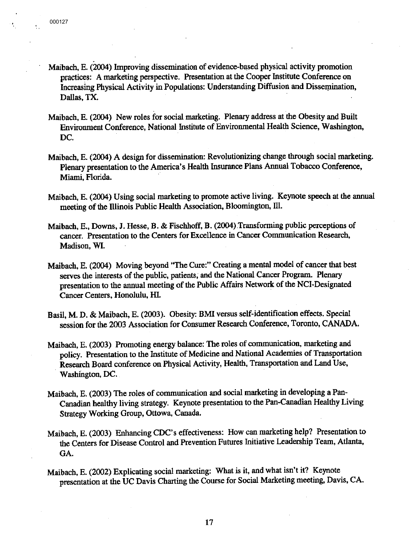- Maibach, E. (2004) Improving dissemination of evidence-based physical activity promotion practices: A marketing perspective. Presentation at the Cooper Institute Conference on Increasing Physical Activity in Populations: Understanding Diffusion and Dissemination. Dallas, TX.
- Maibach, E. (2004) New roles for social marketing. Plenary address at the Obesity and Built Environment Conference, National Institute of Environmental Health Science, Washington, DC.
- Maibach, E. (2004) A design for dissemination: Revolutionizing change through social marketing. Plenary presentation to the America's Health Insurance Plans Annual Tobacco Conference, Miami, Florida.
- Maibach, E. (2004) Using social marketing to promote active living. Keynote speech at the annual meeting of the Illinois Public Health Association, Bloomington, Ill.
- Maibach, E., Downs, J. Hesse, B. & Fischhoff, B. (2004) Transforming public perceptions of cancer. Presentation to the Centers for Excellence in Cancer Communication Research, Madison, **Wl.**
- Maibach, E. (2004) Moving beyond "The Cure:" Creating a mental model of cancer that best serves the interests of the public, patients; and the National Cancer Program. Plenary presentation to the annual meeting of the Public Affairs Network of the NCI-Designated Cancer Centers, Honolulu, HI.
- Basil, M. D. & Maibach, E. (2003). Obesity: BMI versus self-identification effects. Special session for the 2003 Association for Consumer Research Conference, Toronto, CANADA.
- Maibach, E. (2003) Promoting energy balance: The roles of communication, marketing and policy. Presentation to the Institute of Medicine and National Academies of Transportation . Research Board conference on Physical Activity, Health, Transportation and Land Use, Washington, DC.
- Maibach, E. (2003) The roles of communication and social marketing in developing a Pan-Canadian healthy living strategy. Keynote presentation to the Pan-Canadian Healthy Living Strategy Working Group, Ottowa, Canada.
- Maibach, E. (2003) Enhancing CDC's effectiveness: How can marketing help? Presentation to the Centers for Disease Control and Prevention Futures Initiative Leadership Team, Atlanta, GA.
- Maibach, E. (2002) Explicating social marketing: What is it, and what isn't it? Keynote presentation at the UC Davis Charting the Course for Social Marketing meeting, Davis, CA.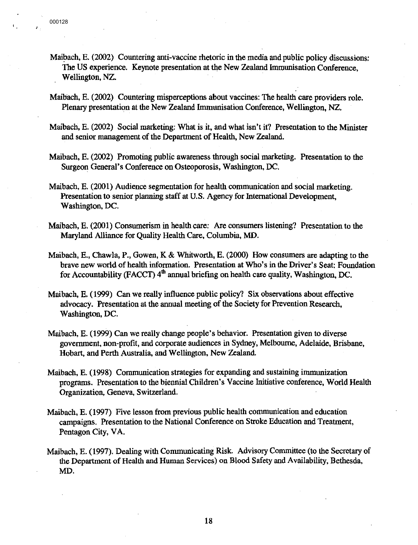- Maibach, E. (2002) Countering anti-vaccine rhetoric in the media and public policy discussions: The US experience. Keynote presentation at the New Zealand Immunisation Conference, Wellington, NZ.
- Maibach, E. (2002) Countering misperceptions about vaccines: The health care providers role. Plenary presentation at the New Zealand Immunisation Conference, Wellington, NZ.
- Maibach, E. (2002) Social marketing: What is it, and what isn't it? Presentation to the Minister and senior management of the Department of Health, New Zealand.
- Maibach, E. (2002) Promoting public awareness through social marketing. Presentation to the Surgeon General's Conference on Osteoporosis, Washington, DC.
- Maibach, E. (2001) Audience segmentation for health communication and social marketing. Presentation to senior planning staff at U.S. Agency for International Development, Washington, DC.
- Maibach, E. (2001) Consumerism in health care: Are consumers listening? Presentation to the Maryland Alliance for Quality Health Care, Columbia, **MD.**
- Maibach, E., Chawla, **P.,** Gowen, **K** & Whitworth, E. (2000) How consumers are adapting to the brave new world of health information. Presentation at Who's in the Driver's Seat: Foundation for Accountability (FACCT)  $4<sup>th</sup>$  annual briefing on health care quality, Washington, DC.
- Maibach, E. (1999) Can we really influence public policy? Six observations about effective advocacy. Presentation at the annual meeting of the Society for Prevention Research, Washington, DC.
- Maibach, E. (1999) Can we really change people's behavior. Presentation given to diverse government, non-profit, and corporate audiences in Sydney, Melbourne, Adelaide, Brisbane, Hobart, and Perth Australia, and Wellington, New Zealand.
- Maibach, E. (1998) Communication strategies for expanding and sustaining immunization programs. Presentation to the biennial Children's Vaccine Initiative conference, World Health Organization, Geneva, Switzerland.
- Maibach, E. (1997) Five lesson from previous public health communication and education campaigns. Presentation to the National Conference on Stroke Education and Treatment, Pentagon City, VA.
- Maibach, E. (1997). Dealing with Communicating Risk. Advisory Committee (to the Secretary of the Department of Health and Human Services) on Blood Safety and Availability, Bethesda, MD.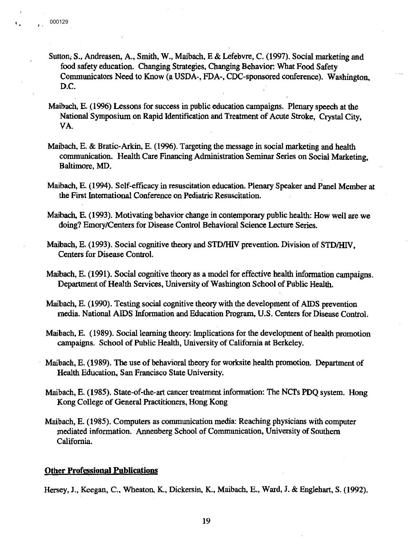- Sutton; S., Andreasen, A., Smith, W., Maibach, E & Lefebvre, C. (1997). Social marketing and food safety education. Changing Strategies, Changing Behavior: What Food Safety Communicators Need to Know (a USDA-, FDA-, CDC-sponsored conference). Washington, D.C.
- Maibach, E. (1996) Lessons for success in public education campaigns. Plenary speech at the National Symposium on Rapid Identification and Treatment of Acute Stroke, Crystal City, VA.
- Maibach, E. & Bratic-Arkin, E. (1996). Targeting the message in social marketing and health communication. Health Care Financing Administration Seminar Series on Social Marketing, Baltimore, MD.
- Maibach, E. (1994). Self-efficacy in resuscitation education. Plenary Speaker and Panel Member at the First International Conference on Pediatric Resuscitation.
- Maibach, E. (1993). Motivating behavior change in contemporary public health: How well are we doing? Emory/Centers for Disease Control Behavioral Science Lecture Series.
- Maibach, E. (1993). Social cognitive theory and STD/HIV prevention. Division of STD/HIV. Centers for Disease Control.
- Maibach, E. (1991). Social cognitive theory as a model for effective health information campaigns. Department of Health Services, University of Washington School of Public Health.
- Maibach, E. (1990). Testing social cognitive theory with the development of AIDS prevention media. National AIDS Information and Education Program, U.S. Centers for Disease Control.
- Maibach, E. (1989). Social learning theory: Implications for the development of health promotion campaigns. School of Public Health, University of California at Berkeley.
- Maibach, E. (1989). The use of behavioral theory for worksite health promotion. Department of Health Education, San Francisco State University.
- Maibach, E. (1985). State-of-the-art cancer treatment information: The NCfs **PDQ** system. Hong Kong College of General Practitioners, Hong Kong
- Maibach, E. (1985). Computers as communication media: Reaching physicians with computer mediated information. Annenberg School of Communication, University of Southern California.

## **Other Professional Publications**

Hersey, J., Keegan, C., Wheaton, K., Dickersin, K., Maibach, E., Ward, J. & Englehart, S. (1992).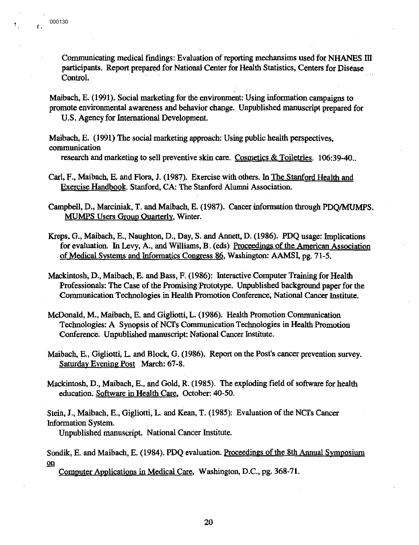Communicating medical findings: Evaluation of reporting mechansims used for NHANES III participants. Report prepared for National Center for Health Statistics, Centers for Disease Control.

Maibach, E. (1991). Social marketing for the environment: Using information campaigns to promote environmental awareness and behavior change. Unpublished manuscript prepared for U.S. Agency for International Development.

Maibach, E. (1991) The social marketing approach: Using public health perspectives, communication

research and marketing to sell preventive skin care. Cosmetics & Toiletries. 106:39-40.

- Carl, F., Maibach, E. and Flora, J. (1987). Exercise with others. In The Stanford Health and Exercise Handbook. Stanford, CA: The Stanford Alumni Association.
- Campbell, D., Marciniak, T. and Maibach, E. (1987). Cancer information through PDQ/MUMPS. MUMPS Users Group Quarterly. Winter.
- Kreps, G., Maibach, E., Naughton, D., Day, S. and Annett, D. (1986). PDQ usage: hnplications for evaluation. In Levy, A., and Williams, B. (eds) Proceedings of the American Association of Medical Systems and Informatics Congress 86, Washington: AAMSI, pg. 71-5.
- Mackintosh, D., Maibach, E. and Bass, F. (1986): Interactive Computer Training for Health Professionals: The Case of the Promising Prototype. Unpublished background paper for the Communication Technologies in Health Promotion Conference, National Cancer Institute.
- McDonald, M., Maibach, E. and Gigliotti, L. (1986). Health Promotion Communication Technologies: A Synopsis of NCfs Communication Technologies in Health Promotion Conference. Unpublished manuscript: National Cancer Institute.
- Maibach, E., Gigliotti, L. and Block, G. (1986). Report on the Post's cancer prevention survey. Saturday Evening Post March: 67-8.
- Mackintosh, D., Maibach, E., and Gold, R. (1985). The exploding field of software for health education. Software in Health Care, October: 40-50.

Stein, J., Maibach, E., Gigliotti, L. and Kean, T. (1985): Evaluation of the NCI's Cancer Information System.

Unpublished manuscript. National Cancer Institute.

Sondik, E. and Maibach, E. (1984). PDQ evaluation. Proceedings of the 8th Annual Symposium on

Computer Applications in Medical Care, Washington, D.C., pg. 368-71.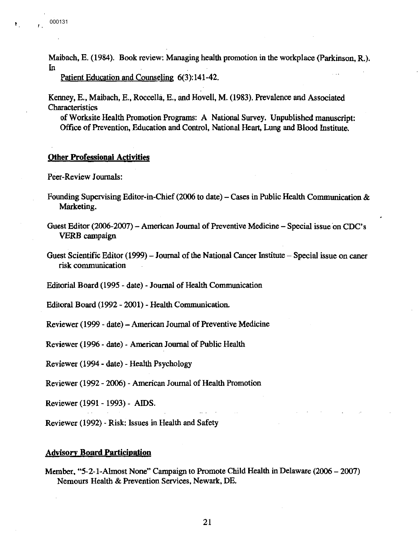Maibach, E. (1984). Book review: Managing health promotion in the workplace (Parkinson, **R.).**  In

Patient Education and Counseling 6(3):141-42.

Kenney, E., Maibach, E., Roccella, E., and Hovell, **M.** (1983). Prevalence and Associated Characteristics

of Worksite Health Promotion Programs: A National Survey. Unpublished manuscript: Office of Prevention, Education and Control, National Heart, Lung and Blood Institute.

# **Other Professional Activities**

Peer-Review Journals:

- Founding Supervising Editor-in-Chief (2006 to date) Cases in Public Health Communication & Marketing.
- Guest Editor (2006-2007)-American Journal of Preventive Medicine-Special issue on CDC's VERB campaign
- Guest Scientific Editor  $(1999)$  Journal of the National Cancer Institute Special issue on caner **risk** communication

Editorial Board (1995 - date) - Journal of Health Communication

Editoral Board (1992 - 2001) - Health Communication.

Reviewer (1999- date)-American Journal of Preventive Medicine

Reviewer (1996 - date) - American Journal of Public Health

Reviewer (1994- date) - Health Psychology

Reviewer (1992- 2006) -American Journal of Health Promotion

Reviewer (1991 - 1993) - **AIDS.** 

Reviewer (1992) - Risk: Issues in Health and Safety

## **Advisory Board Participation**

Member, "5-2-1-Almost None" Campaign to Promote Child Health in Delaware (2006-2007) Nemours Health & Prevention Services, Newark, DE.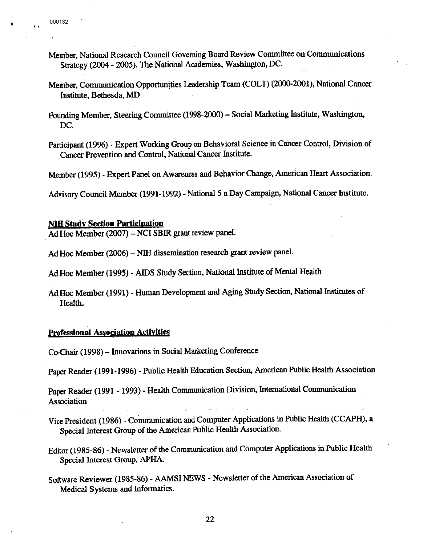$\mathbf{I}$ 

- Member, National Research Council Governing Board Review Committee on Communications Strategy(2004- 2005). The National Academies, Washington, DC.
- Member, Communication Opportunities Leadership Team (COLT) (2000-2001), National Cancer Institute, Bethesda, MD
- Founding Member, Steering Committee (1998-2000) Social Marketing Institute, Washington, DC.
- Participant (1996) Expert Working Group on Behavioral Science in Cancer Control, Division of Cancer Prevention and Control, National Cancer Institute.

Member (1995) - Expert Panel on Awareness and Behavior Change, American Heart Association.

Advisory Council Member (1991-1992) - National *5* a Day Campaign, National Cancer Institute.

## **NIH Study Section Participation**

Ad Hoc Member (2007) – NCI SBIR grant review panel.

Ad Hoc Member (2006) – NIH dissemination research grant review panel.

Ad Hoc Member (1995) - AIDS Study Section, National Institute of Mental Health

Ad Hoc Member (1991) - Human Development and Aging Study Section, National Institutes of Health.

## **Prefessional Association Activities**

Co-Chair (1998)- Innovations in Social Marketing Conference

Paper Reader (1991-1996) - Public Health Education Section, American Public Health Association

Paper Reader (1991 - 1993) - Health Communication Division, International Communication Association

- Vice President (1986) · Communication and Computer Applications in Public Health (CCAPH), a Special Interest Group of the American Public Health Association.
- Editor (1985-86) Newsletter of the Communication and Computer Applications in Public Health Special Interest Group, APHA.
- Software Reviewer (1985-86) AAMSI NEWS Newsletter of the American Association of Medical Systems and Informatics.